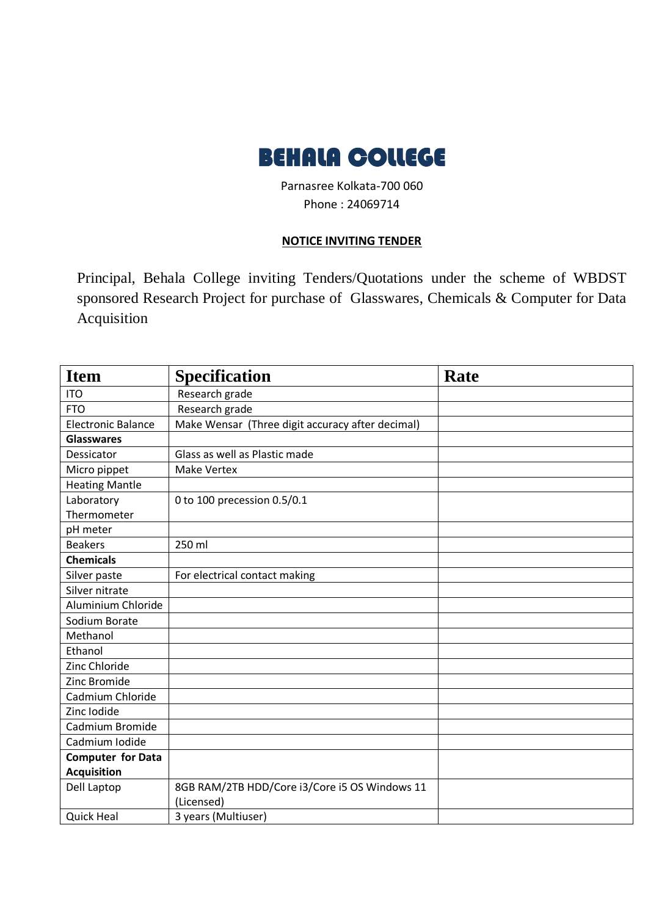

Parnasree Kolkata-700 060 Phone : 24069714

## **NOTICE INVITING TENDER**

Principal, Behala College inviting Tenders/Quotations under the scheme of WBDST sponsored Research Project for purchase of Glasswares, Chemicals & Computer for Data Acquisition

| <b>Item</b>               | <b>Specification</b>                             | Rate |
|---------------------------|--------------------------------------------------|------|
| <b>ITO</b>                | Research grade                                   |      |
| <b>FTO</b>                | Research grade                                   |      |
| <b>Electronic Balance</b> | Make Wensar (Three digit accuracy after decimal) |      |
| <b>Glasswares</b>         |                                                  |      |
| Dessicator                | Glass as well as Plastic made                    |      |
| Micro pippet              | <b>Make Vertex</b>                               |      |
| <b>Heating Mantle</b>     |                                                  |      |
| Laboratory                | 0 to 100 precession 0.5/0.1                      |      |
| Thermometer               |                                                  |      |
| pH meter                  |                                                  |      |
| <b>Beakers</b>            | 250 ml                                           |      |
| <b>Chemicals</b>          |                                                  |      |
| Silver paste              | For electrical contact making                    |      |
| Silver nitrate            |                                                  |      |
| Aluminium Chloride        |                                                  |      |
| Sodium Borate             |                                                  |      |
| Methanol                  |                                                  |      |
| Ethanol                   |                                                  |      |
| Zinc Chloride             |                                                  |      |
| Zinc Bromide              |                                                  |      |
| Cadmium Chloride          |                                                  |      |
| Zinc Iodide               |                                                  |      |
| Cadmium Bromide           |                                                  |      |
| Cadmium Iodide            |                                                  |      |
| <b>Computer for Data</b>  |                                                  |      |
| <b>Acquisition</b>        |                                                  |      |
| Dell Laptop               | 8GB RAM/2TB HDD/Core i3/Core i5 OS Windows 11    |      |
|                           | (Licensed)                                       |      |
| <b>Quick Heal</b>         | 3 years (Multiuser)                              |      |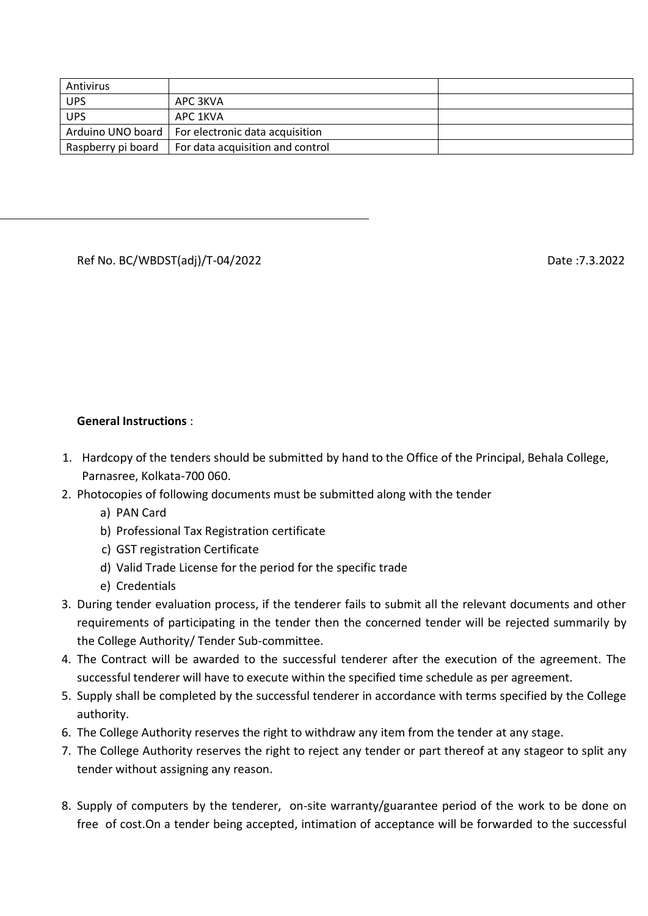| Antivirus  |                                                       |  |
|------------|-------------------------------------------------------|--|
| <b>UPS</b> | APC 3KVA                                              |  |
| <b>UPS</b> | APC 1KVA                                              |  |
|            | Arduino UNO board   For electronic data acquisition   |  |
|            | Raspberry pi board   For data acquisition and control |  |

## Ref No. BC/WBDST(adj)/T-04/2022 Date :7.3.2022

## **General Instructions** :

- 1. Hardcopy of the tenders should be submitted by hand to the Office of the Principal, Behala College, Parnasree, Kolkata-700 060.
- 2. Photocopies of following documents must be submitted along with the tender
	- a) PAN Card
	- b) Professional Tax Registration certificate
	- c) GST registration Certificate
	- d) Valid Trade License for the period for the specific trade
	- e) Credentials
- 3. During tender evaluation process, if the tenderer fails to submit all the relevant documents and other requirements of participating in the tender then the concerned tender will be rejected summarily by the College Authority/ Tender Sub-committee.
- 4. The Contract will be awarded to the successful tenderer after the execution of the agreement. The successful tenderer will have to execute within the specified time schedule as per agreement.
- 5. Supply shall be completed by the successful tenderer in accordance with terms specified by the College authority.
- 6. The College Authority reserves the right to withdraw any item from the tender at any stage.
- 7. The College Authority reserves the right to reject any tender or part thereof at any stageor to split any tender without assigning any reason.
- 8. Supply of computers by the tenderer, on-site warranty/guarantee period of the work to be done on free of cost.On a tender being accepted, intimation of acceptance will be forwarded to the successful